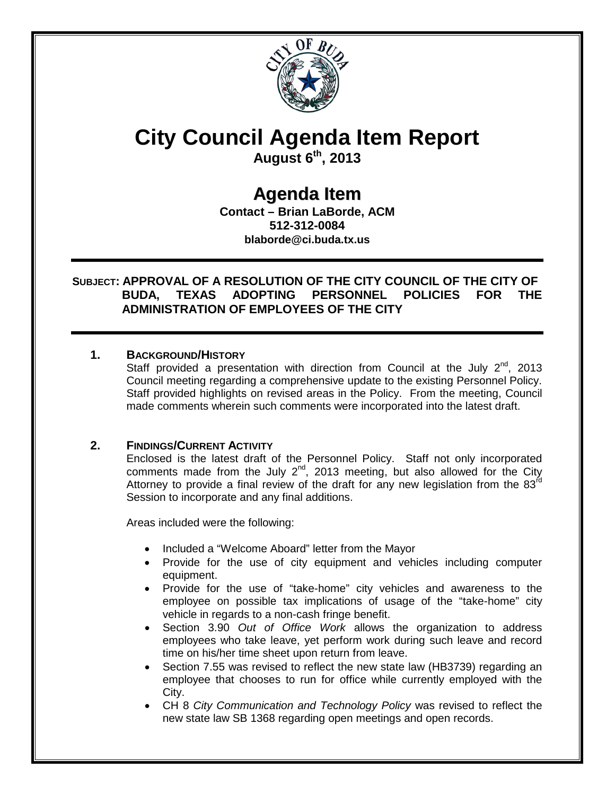

# **City Council Agenda Item Report**

**August 6th, 2013**

# **Agenda Item**

**Contact – Brian LaBorde, ACM 512-312-0084 blaborde@ci.buda.tx.us**

## **SUBJECT: APPROVAL OF A RESOLUTION OF THE CITY COUNCIL OF THE CITY OF BUDA, TEXAS ADOPTING PERSONNEL POLICIES FOR THE ADMINISTRATION OF EMPLOYEES OF THE CITY**

## **1. BACKGROUND/HISTORY**

Staff provided a presentation with direction from Council at the July  $2^{nd}$ , 2013 Council meeting regarding a comprehensive update to the existing Personnel Policy. Staff provided highlights on revised areas in the Policy. From the meeting, Council made comments wherein such comments were incorporated into the latest draft.

# **2. FINDINGS/CURRENT ACTIVITY**

Enclosed is the latest draft of the Personnel Policy. Staff not only incorporated comments made from the July  $2^{nd}$ , 2013 meeting, but also allowed for the City Attorney to provide a final review of the draft for any new legislation from the 83 $^{\text{rd}}$ Session to incorporate and any final additions.

Areas included were the following:

- Included a "Welcome Aboard" letter from the Mayor
- Provide for the use of city equipment and vehicles including computer equipment.
- Provide for the use of "take-home" city vehicles and awareness to the employee on possible tax implications of usage of the "take-home" city vehicle in regards to a non-cash fringe benefit.
- Section 3.90 *Out of Office Work* allows the organization to address employees who take leave, yet perform work during such leave and record time on his/her time sheet upon return from leave.
- Section 7.55 was revised to reflect the new state law (HB3739) regarding an employee that chooses to run for office while currently employed with the City.
- CH 8 *City Communication and Technology Policy* was revised to reflect the new state law SB 1368 regarding open meetings and open records.